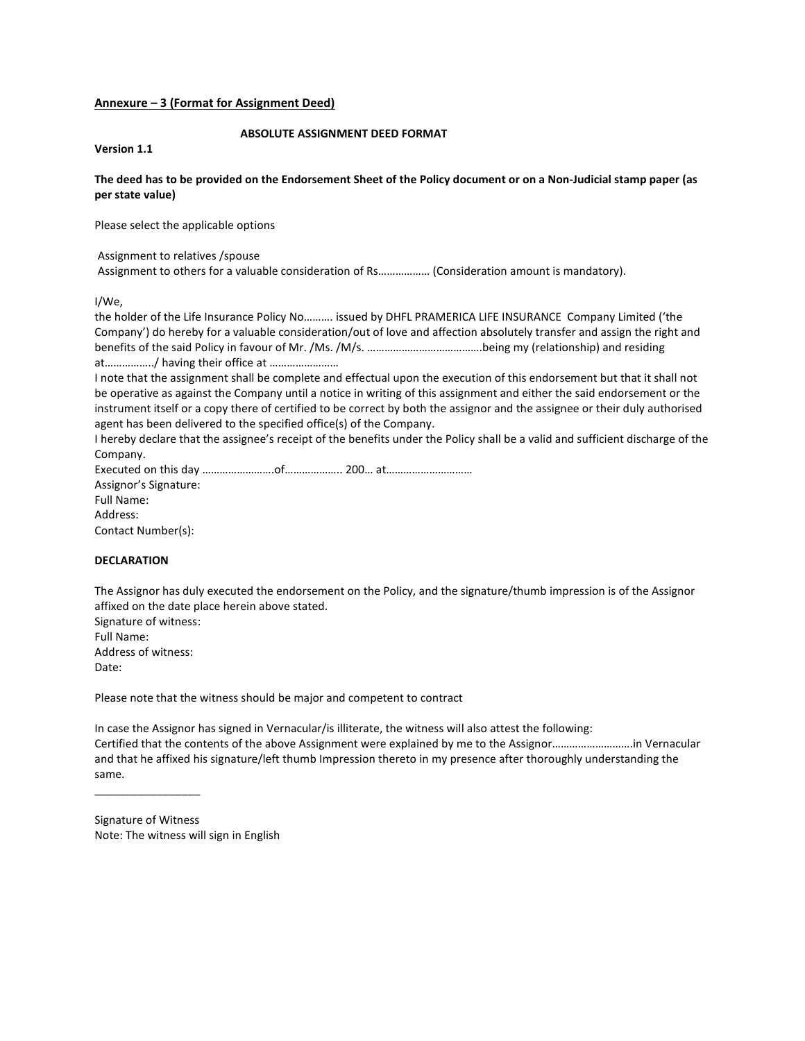## **Annexure – 3 (Format for Assignment Deed)**

## **ABSOLUTE ASSIGNMENT DEED FORMAT**

**Version 1.1** 

# **The deed has to be provided on the Endorsement Sheet of the Policy document or on a Non-Judicial stamp paper (as per state value)**

Please select the applicable options

### Assignment to relatives /spouse

Assignment to others for a valuable consideration of Rs……………… (Consideration amount is mandatory).

I/We,

the holder of the Life Insurance Policy No………. issued by DHFL PRAMERICA LIFE INSURANCE Company Limited ('the Company') do hereby for a valuable consideration/out of love and affection absolutely transfer and assign the right and benefits of the said Policy in favour of Mr. /Ms. /M/s. ………………………………….being my (relationship) and residing at……………../ having their office at ……………………

I note that the assignment shall be complete and effectual upon the execution of this endorsement but that it shall not be operative as against the Company until a notice in writing of this assignment and either the said endorsement or the instrument itself or a copy there of certified to be correct by both the assignor and the assignee or their duly authorised agent has been delivered to the specified office(s) of the Company.

I hereby declare that the assignee's receipt of the benefits under the Policy shall be a valid and sufficient discharge of the Company.

Executed on this day …………………….of……………….. 200… at…………………………

Assignor's Signature: Full Name: Address: Contact Number(s):

# **DECLARATION**

The Assignor has duly executed the endorsement on the Policy, and the signature/thumb impression is of the Assignor affixed on the date place herein above stated.

Signature of witness: Full Name: Address of witness: Date:

 $\frac{1}{2}$  ,  $\frac{1}{2}$  ,  $\frac{1}{2}$  ,  $\frac{1}{2}$  ,  $\frac{1}{2}$  ,  $\frac{1}{2}$  ,  $\frac{1}{2}$  ,  $\frac{1}{2}$ 

Please note that the witness should be major and competent to contract

In case the Assignor has signed in Vernacular/is illiterate, the witness will also attest the following: Certified that the contents of the above Assignment were explained by me to the Assignor……………………….in Vernacular and that he affixed his signature/left thumb Impression thereto in my presence after thoroughly understanding the same.

Signature of Witness Note: The witness will sign in English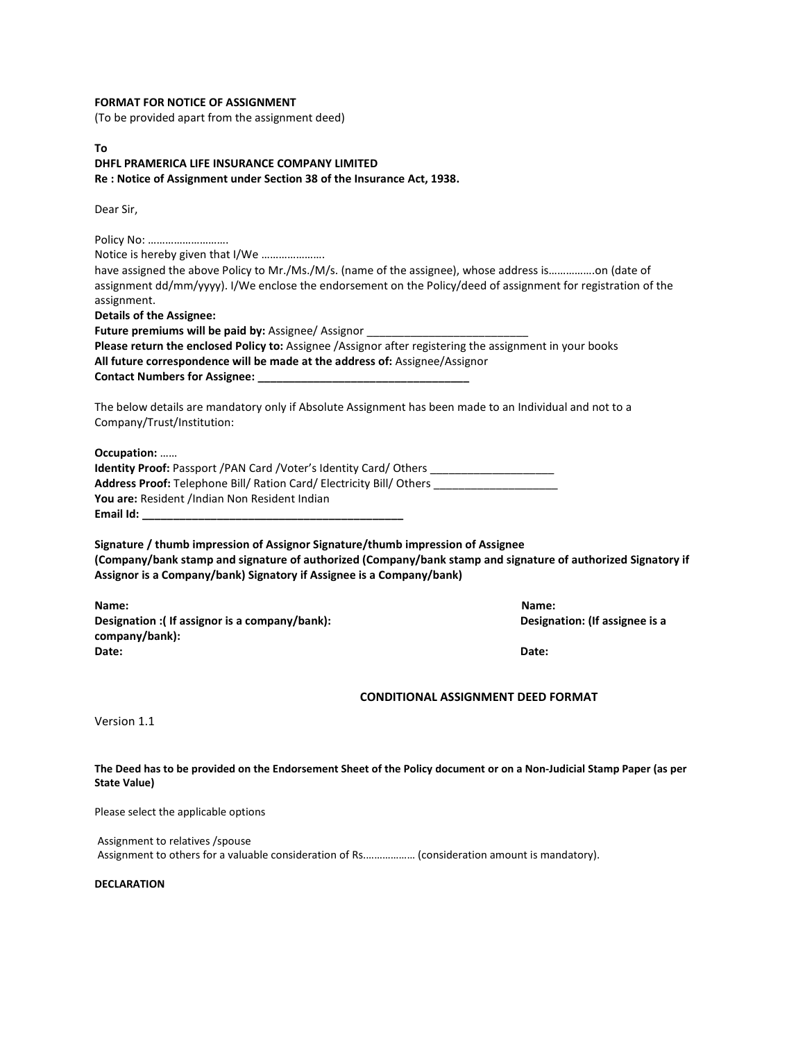## **FORMAT FOR NOTICE OF ASSIGNMENT**

(To be provided apart from the assignment deed)

**To DHFL PRAMERICA LIFE INSURANCE COMPANY LIMITED Re : Notice of Assignment under Section 38 of the Insurance Act, 1938.** 

Dear Sir,

Policy No: ………………………. Notice is hereby given that I/We …………………. have assigned the above Policy to Mr./Ms./M/s. (name of the assignee), whose address is..................on (date of assignment dd/mm/yyyy). I/We enclose the endorsement on the Policy/deed of assignment for registration of the assignment. **Details of the Assignee:**  Future premiums will be paid by: Assignee/ Assignor **Please return the enclosed Policy to:** Assignee /Assignor after registering the assignment in your books **All future correspondence will be made at the address of:** Assignee/Assignor **Contact Numbers for Assignee: \_\_\_\_\_\_\_\_\_\_\_\_\_\_\_\_\_\_\_\_\_\_\_\_\_\_\_\_\_\_\_\_\_\_**  The below details are mandatory only if Absolute Assignment has been made to an Individual and not to a Company/Trust/Institution: **Occupation:** …… **Identity Proof: Passport /PAN Card /Voter's Identity Card/ Others \_\_\_\_\_\_\_\_\_\_\_\_\_\_ Address Proof:** Telephone Bill/ Ration Card/ Electricity Bill/ Others \_\_\_\_\_\_\_\_\_\_\_\_\_\_\_\_\_\_\_\_ You are: Resident /Indian Non Resident Indian **Email Id: \_\_\_\_\_\_\_\_\_\_\_\_\_\_\_\_\_\_\_\_\_\_\_\_\_\_\_\_\_\_\_\_\_\_\_\_\_\_\_\_\_\_ Signature / thumb impression of Assignor Signature/thumb impression of Assignee (Company/bank stamp and signature of authorized (Company/bank stamp and signature of authorized Signatory if Assignor is a Company/bank) Signatory if Assignee is a Company/bank) Name: Name: Designation : (If assignor is a company/bank):** Designation: (If assignee is a **b Designation:** (If assignee is a **company/bank): Date: Date: CONDITIONAL ASSIGNMENT DEED FORMAT**  Version 1.1 **The Deed has to be provided on the Endorsement Sheet of the Policy document or on a Non-Judicial Stamp Paper (as per State Value)**  Please select the applicable options

Assignment to relatives /spouse Assignment to others for a valuable consideration of Rs.……………… (consideration amount is mandatory).

**DECLARATION**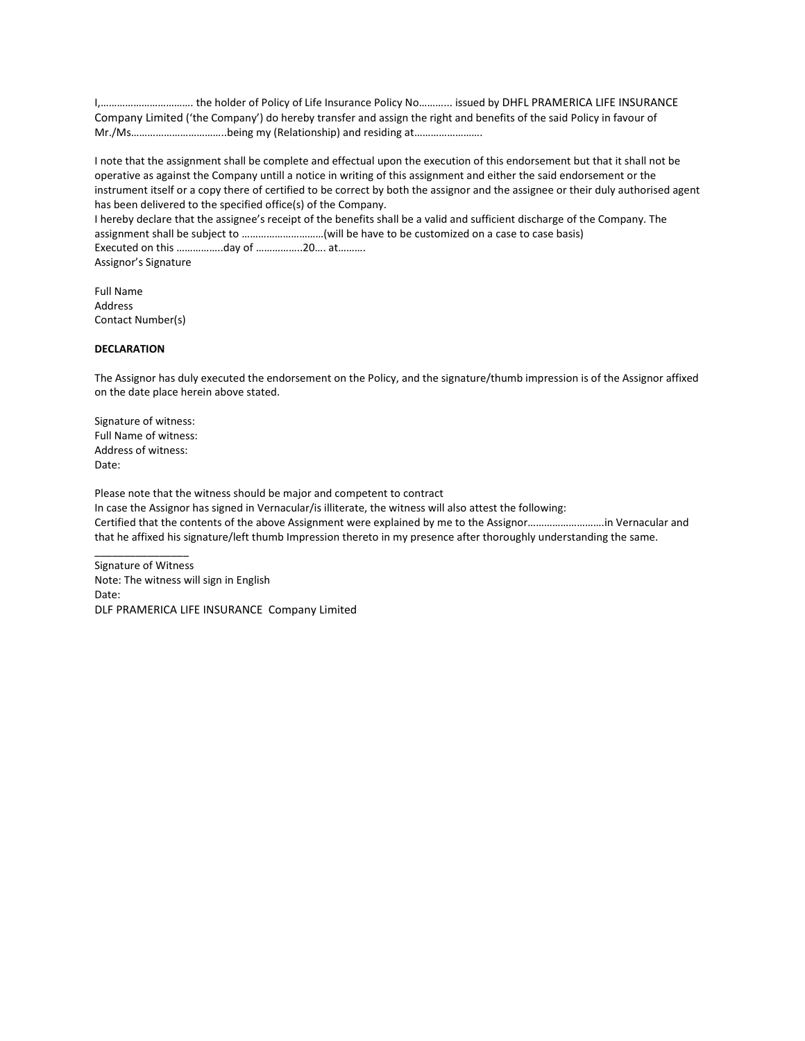I,……………………………. the holder of Policy of Life Insurance Policy No………... issued by DHFL PRAMERICA LIFE INSURANCE Company Limited ('the Company') do hereby transfer and assign the right and benefits of the said Policy in favour of Mr./Ms……………………………..being my (Relationship) and residing at…………………….

I note that the assignment shall be complete and effectual upon the execution of this endorsement but that it shall not be operative as against the Company untill a notice in writing of this assignment and either the said endorsement or the instrument itself or a copy there of certified to be correct by both the assignor and the assignee or their duly authorised agent has been delivered to the specified office(s) of the Company. I hereby declare that the assignee's receipt of the benefits shall be a valid and sufficient discharge of the Company. The assignment shall be subject to …………………………(will be have to be customized on a case to case basis) Executed on this ……………..day of ……………..20…. at………. Assignor's Signature

Full Name Address Contact Number(s)

#### **DECLARATION**

The Assignor has duly executed the endorsement on the Policy, and the signature/thumb impression is of the Assignor affixed on the date place herein above stated.

Signature of witness: Full Name of witness: Address of witness: Date:

 $\overline{\phantom{a}}$  , where  $\overline{\phantom{a}}$ 

Please note that the witness should be major and competent to contract In case the Assignor has signed in Vernacular/is illiterate, the witness will also attest the following: Certified that the contents of the above Assignment were explained by me to the Assignor……………………….in Vernacular and that he affixed his signature/left thumb Impression thereto in my presence after thoroughly understanding the same.

Signature of Witness Note: The witness will sign in English Date: DLF PRAMERICA LIFE INSURANCE Company Limited